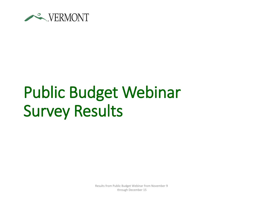

## Public Budget Webinar Survey Results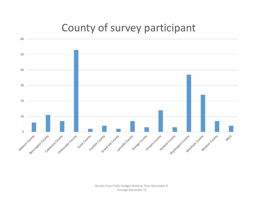## County of survey participant

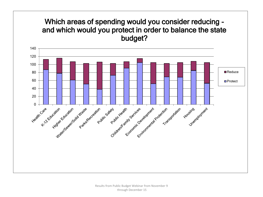## Which areas of spending would you consider reducing and which would you protect in order to balance the state budget?

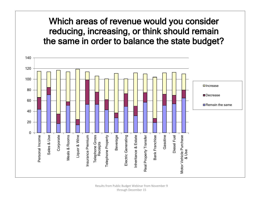Which areas of revenue would you consider reducing, increasing, or think should remain the same in order to balance the state budget?

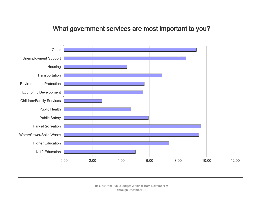